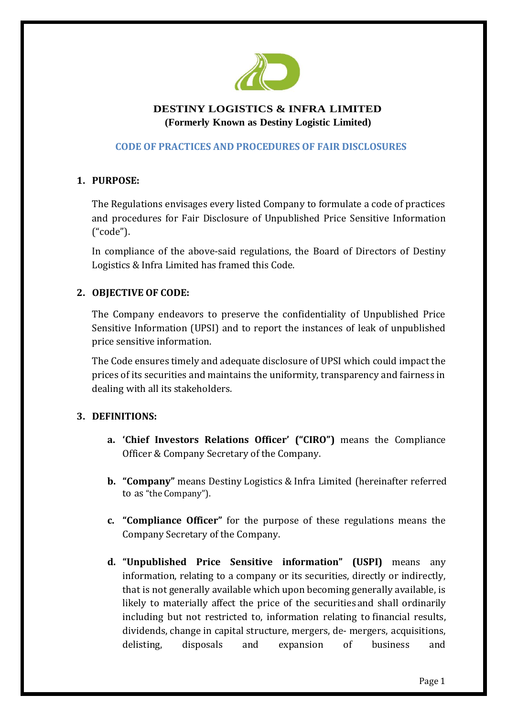

# **DESTINY LOGISTICS & INFRA LIMITED (Formerly Known as Destiny Logistic Limited)**

# **CODE OF PRACTICES AND PROCEDURES OF FAIR DISCLOSURES**

# **1. PURPOSE:**

The Regulations envisages every listed Company to formulate a code of practices and procedures for Fair Disclosure of Unpublished Price Sensitive Information ("code").

In compliance of the above-said regulations, the Board of Directors of Destiny Logistics & Infra Limited has framed this Code.

## **2. OBJECTIVE OF CODE:**

The Company endeavors to preserve the confidentiality of Unpublished Price Sensitive Information (UPSI) and to report the instances of leak of unpublished price sensitive information.

The Code ensures timely and adequate disclosure of UPSI which could impact the prices of its securities and maintains the uniformity, transparency and fairness in dealing with all its stakeholders.

## **3. DEFINITIONS:**

- **a. 'Chief Investors Relations Officer' ("CIRO")** means the Compliance Officer & Company Secretary of the Company.
- **b. "Company"** means Destiny Logistics & Infra Limited (hereinafter referred to as "the Company").
- **c. "Compliance Officer"** for the purpose of these regulations means the Company Secretary of the Company.
- **d. "Unpublished Price Sensitive information" (USPI)** means any information, relating to a company or its securities, directly or indirectly, that is not generally available which upon becoming generally available, is likely to materially affect the price of the securities and shall ordinarily including but not restricted to, information relating to financial results, dividends, change in capital structure, mergers, de- mergers, acquisitions, delisting, disposals and expansion of business and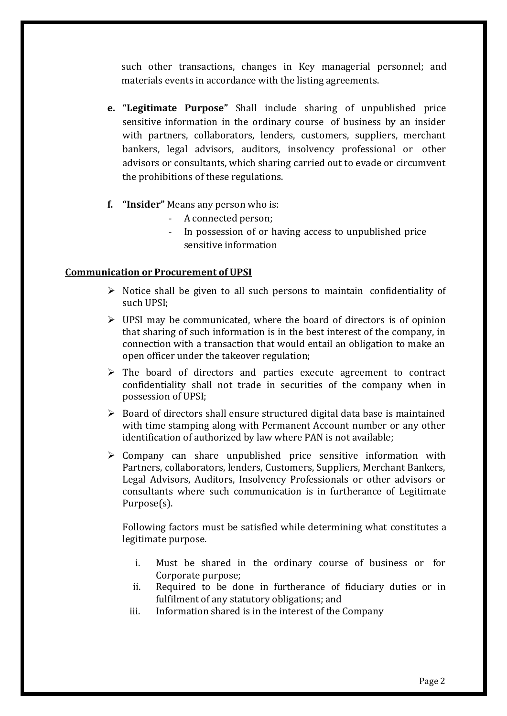such other transactions, changes in Key managerial personnel; and materials events in accordance with the listing agreements.

- **e. "Legitimate Purpose"** Shall include sharing of unpublished price sensitive information in the ordinary course of business by an insider with partners, collaborators, lenders, customers, suppliers, merchant bankers, legal advisors, auditors, insolvency professional or other advisors or consultants, which sharing carried out to evade or circumvent the prohibitions of these regulations.
- **f. "Insider"** Means any person who is:
	- A connected person;
	- In possession of or having access to unpublished price sensitive information

#### **Communication or Procurement of UPSI**

- $\triangleright$  Notice shall be given to all such persons to maintain confidentiality of such UPSI;
- $\triangleright$  UPSI may be communicated, where the board of directors is of opinion that sharing of such information is in the best interest of the company, in connection with a transaction that would entail an obligation to make an open officer under the takeover regulation;
- $\triangleright$  The board of directors and parties execute agreement to contract confidentiality shall not trade in securities of the company when in possession of UPSI;
- $\triangleright$  Board of directors shall ensure structured digital data base is maintained with time stamping along with Permanent Account number or any other identification of authorized by law where PAN is not available;
- $\triangleright$  Company can share unpublished price sensitive information with Partners, collaborators, lenders, Customers, Suppliers, Merchant Bankers, Legal Advisors, Auditors, Insolvency Professionals or other advisors or consultants where such communication is in furtherance of Legitimate Purpose(s).

Following factors must be satisfied while determining what constitutes a legitimate purpose.

- i. Must be shared in the ordinary course of business or for Corporate purpose;
- ii. Required to be done in furtherance of fiduciary duties or in fulfilment of any statutory obligations; and
- iii. Information shared is in the interest of the Company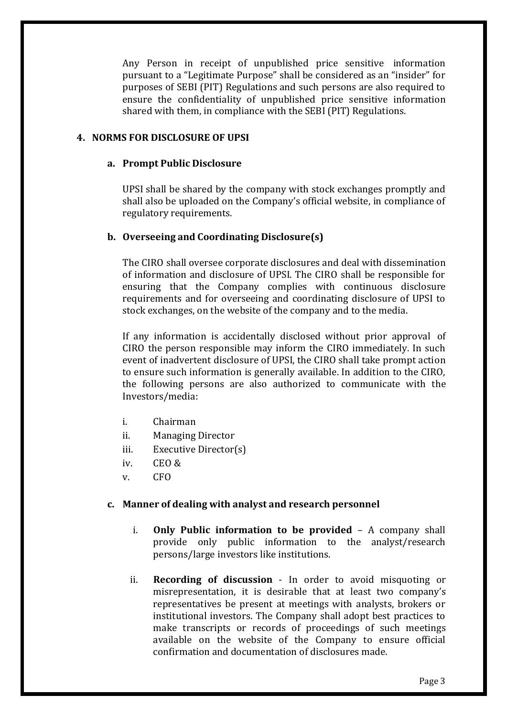Any Person in receipt of unpublished price sensitive information pursuant to a "Legitimate Purpose" shall be considered as an "insider" for purposes of SEBI (PIT) Regulations and such persons are also required to ensure the confidentiality of unpublished price sensitive information shared with them, in compliance with the SEBI (PIT) Regulations.

#### **4. NORMS FOR DISCLOSURE OF UPSI**

#### **a. Prompt Public Disclosure**

UPSI shall be shared by the company with stock exchanges promptly and shall also be uploaded on the Company's official website, in compliance of regulatory requirements.

### **b. Overseeing and Coordinating Disclosure(s)**

The CIRO shall oversee corporate disclosures and deal with dissemination of information and disclosure of UPSI. The CIRO shall be responsible for ensuring that the Company complies with continuous disclosure requirements and for overseeing and coordinating disclosure of UPSI to stock exchanges, on the website of the company and to the media.

If any information is accidentally disclosed without prior approval of CIRO the person responsible may inform the CIRO immediately. In such event of inadvertent disclosure of UPSI, the CIRO shall take prompt action to ensure such information is generally available. In addition to the CIRO, the following persons are also authorized to communicate with the Investors/media:

- i. Chairman
- ii. Managing Director
- iii. Executive Director(s)
- iv. CEO &
- v. CFO

#### **c. Manner of dealing with analyst and research personnel**

- i. **Only Public information to be provided** A company shall provide only public information to the analyst/research persons/large investors like institutions.
- ii. **Recording of discussion** In order to avoid misquoting or misrepresentation, it is desirable that at least two company's representatives be present at meetings with analysts, brokers or institutional investors. The Company shall adopt best practices to make transcripts or records of proceedings of such meetings available on the website of the Company to ensure official confirmation and documentation of disclosures made.